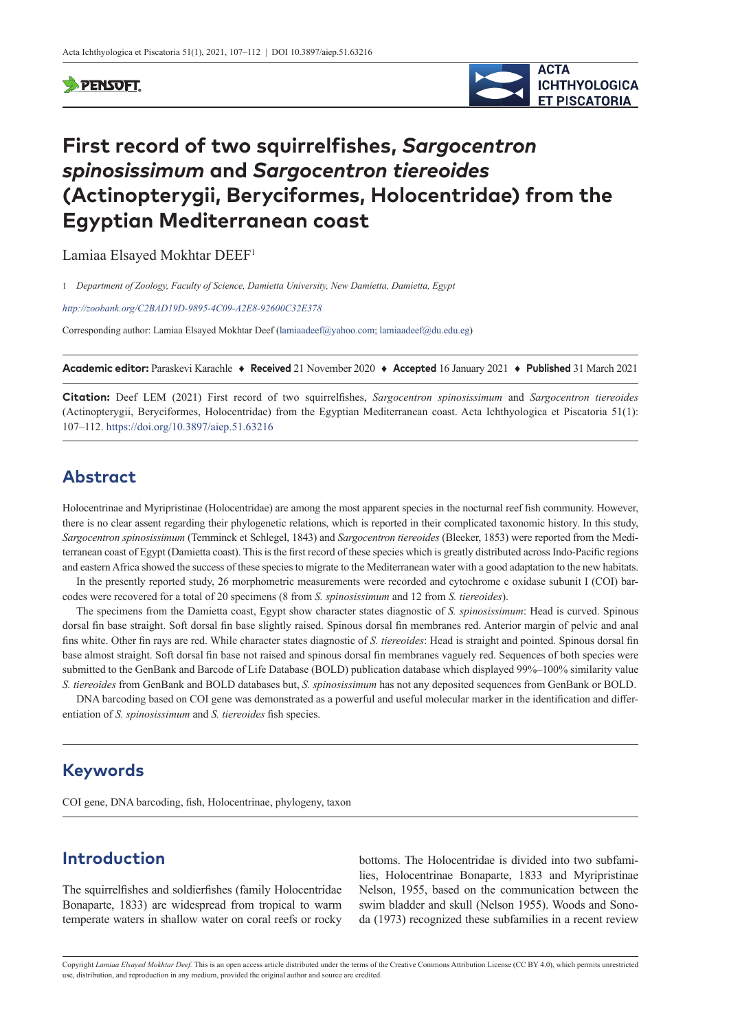#### **SPENSOFT**



# **First record of two squirrelfishes,** *Sargocentron spinosissimum* **and** *Sargocentron tiereoides* **(Actinopterygii, Beryciformes, Holocentridae) from the Egyptian Mediterranean coast**

Lamiaa Elsayed Mokhtar DEEF1

1 *Department of Zoology, Faculty of Science, Damietta University, New Damietta, Damietta, Egypt*

*<http://zoobank.org/C2BAD19D-9895-4C09-A2E8-92600C32E378>*

Corresponding author: Lamiaa Elsayed Mokhtar Deef [\(lamiaadeef@yahoo.com](mailto:lamiaadeef@yahoo.com); [lamiaadeef@du.edu.eg\)](mailto:lamiaadeef@du.edu.eg)

**Academic editor:** Paraskevi Karachle ♦ **Received** 21 November 2020 ♦ **Accepted** 16 January 2021 ♦ **Published** 31 March 2021

**Citation:** Deef LEM (2021) First record of two squirrelfishes, *Sargocentron spinosissimum* and *Sargocentron tiereoides* (Actinopterygii, Beryciformes, Holocentridae) from the Egyptian Mediterranean coast. Acta Ichthyologica et Piscatoria 51(1): 107–112. <https://doi.org/10.3897/aiep.51.63216>

## **Abstract**

Holocentrinae and Myripristinae (Holocentridae) are among the most apparent species in the nocturnal reef fish community. However, there is no clear assent regarding their phylogenetic relations, which is reported in their complicated taxonomic history. In this study, *Sargocentron spinosissimum* (Temminck et Schlegel, 1843) and *Sargocentron tiereoides* (Bleeker, 1853) were reported from the Mediterranean coast of Egypt (Damietta coast). This is the first record of these species which is greatly distributed across Indo-Pacific regions and eastern Africa showed the success of these species to migrate to the Mediterranean water with a good adaptation to the new habitats.

In the presently reported study, 26 morphometric measurements were recorded and cytochrome c oxidase subunit I (COI) barcodes were recovered for a total of 20 specimens (8 from *S. spinosissimum* and 12 from *S. tiereoides*).

The specimens from the Damietta coast, Egypt show character states diagnostic of *S. spinosissimum*: Head is curved. Spinous dorsal fin base straight. Soft dorsal fin base slightly raised. Spinous dorsal fin membranes red. Anterior margin of pelvic and anal fins white. Other fin rays are red. While character states diagnostic of *S. tiereoides*: Head is straight and pointed. Spinous dorsal fin base almost straight. Soft dorsal fin base not raised and spinous dorsal fin membranes vaguely red. Sequences of both species were submitted to the GenBank and Barcode of Life Database (BOLD) publication database which displayed 99%–100% similarity value *S. tiereoides* from GenBank and BOLD databases but, *S. spinosissimum* has not any deposited sequences from GenBank or BOLD.

DNA barcoding based on COI gene was demonstrated as a powerful and useful molecular marker in the identification and differentiation of *S. spinosissimum* and *S. tiereoides* fish species.

## **Keywords**

COI gene, DNA barcoding, fish, Holocentrinae, phylogeny, taxon

## **Introduction**

The squirrelfishes and soldierfishes (family Holocentridae Bonaparte, 1833) are widespread from tropical to warm temperate waters in shallow water on coral reefs or rocky

bottoms. The Holocentridae is divided into two subfamilies, Holocentrinae Bonaparte, 1833 and Myripristinae Nelson, 1955, based on the communication between the swim bladder and skull (Nelson 1955). Woods and Sonoda (1973) recognized these subfamilies in a recent review

Copyright *Lamiaa Elsayed Mokhtar Deef.* This is an open access article distributed under the terms of the [Creative Commons Attribution License \(CC BY 4.0\)](http://creativecommons.org/licenses/by/4.0/), which permits unrestricted use, distribution, and reproduction in any medium, provided the original author and source are credited.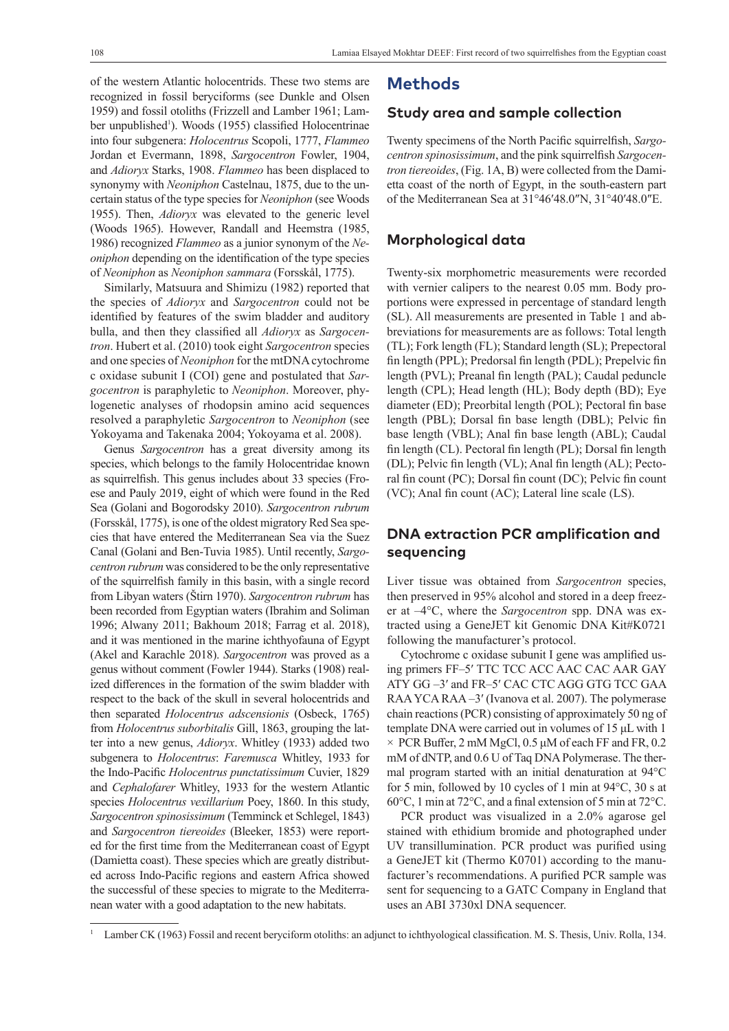of the western Atlantic holocentrids. These two stems are recognized in fossil beryciforms (see Dunkle and Olsen 1959) and fossil otoliths (Frizzell and Lamber 1961; Lamber unpublished<sup>1</sup>). Woods (1955) classified Holocentrinae into four subgenera: *Holocentrus* Scopoli, 1777, *Flammeo* Jordan et Evermann, 1898, *Sargocentron* Fowler, 1904, and *Adioryx* Starks, 1908. *Flammeo* has been displaced to synonymy with *Neoniphon* Castelnau, 1875, due to the uncertain status of the type species for *Neoniphon* (see Woods 1955). Then, *Adioryx* was elevated to the generic level (Woods 1965). However, Randall and Heemstra (1985, 1986) recognized *Flammeo* as a junior synonym of the *Neoniphon* depending on the identification of the type species of *Neoniphon* as *Neoniphon sammara* (Forsskål, 1775).

Similarly, Matsuura and Shimizu (1982) reported that the species of *Adioryx* and *Sargocentron* could not be identified by features of the swim bladder and auditory bulla, and then they classified all *Adioryx* as *Sargocentron*. Hubert et al. (2010) took eight *Sargocentron* species and one species of *Neoniphon* for the mtDNA cytochrome c oxidase subunit I (COI) gene and postulated that *Sargocentron* is paraphyletic to *Neoniphon*. Moreover, phylogenetic analyses of rhodopsin amino acid sequences resolved a paraphyletic *Sargocentron* to *Neoniphon* (see Yokoyama and Takenaka 2004; Yokoyama et al. 2008).

Genus *Sargocentron* has a great diversity among its species, which belongs to the family Holocentridae known as squirrelfish. This genus includes about 33 species (Froese and Pauly 2019, eight of which were found in the Red Sea (Golani and Bogorodsky 2010). *Sargocentron rubrum* (Forsskål, 1775), is one of the oldest migratory Red Sea species that have entered the Mediterranean Sea via the Suez Canal (Golani and Ben-Tuvia 1985). Until recently, *Sargocentron rubrum* was considered to be the only representative of the squirrelfish family in this basin, with a single record from Libyan waters (Štirn 1970). *Sargocentron rubrum* has been recorded from Egyptian waters (Ibrahim and Soliman 1996; Alwany 2011; Bakhoum 2018; Farrag et al. 2018), and it was mentioned in the marine ichthyofauna of Egypt (Akel and Karachle 2018). *Sargocentron* was proved as a genus without comment (Fowler 1944). Starks (1908) realized differences in the formation of the swim bladder with respect to the back of the skull in several holocentrids and then separated *Holocentrus adscensionis* (Osbeck, 1765) from *Holocentrus suborbitalis* Gill, 1863, grouping the latter into a new genus, *Adioryx*. Whitley (1933) added two subgenera to *Holocentrus*: *Faremusca* Whitley, 1933 for the Indo-Pacific *Holocentrus punctatissimum* Cuvier, 1829 and *Cephalofarer* Whitley, 1933 for the western Atlantic species *Holocentrus vexillarium* Poey, 1860. In this study, *Sargocentron spinosissimum* (Temminck et Schlegel, 1843) and *Sargocentron tiereoides* (Bleeker, 1853) were reported for the first time from the Mediterranean coast of Egypt (Damietta coast). These species which are greatly distributed across Indo-Pacific regions and eastern Africa showed the successful of these species to migrate to the Mediterranean water with a good adaptation to the new habitats.

### **Methods**

#### **Study area and sample collection**

Twenty specimens of the North Pacific squirrelfish, *Sargocentron spinosissimum*, and the pink squirrelfish *Sargocentron tiereoides*, (Fig. 1A, B) were collected from the Damietta coast of the north of Egypt, in the south-eastern part of the Mediterranean Sea at 31°46′48.0″N, 31°40′48.0″E.

#### **Morphological data**

Twenty-six morphometric measurements were recorded with vernier calipers to the nearest 0.05 mm. Body proportions were expressed in percentage of standard length (SL). All measurements are presented in Table 1 and abbreviations for measurements are as follows: Total length (TL); Fork length (FL); Standard length (SL); Prepectoral fin length (PPL); Predorsal fin length (PDL); Prepelvic fin length (PVL); Preanal fin length (PAL); Caudal peduncle length (CPL); Head length (HL); Body depth (BD); Eye diameter (ED); Preorbital length (POL); Pectoral fin base length (PBL); Dorsal fin base length (DBL); Pelvic fin base length (VBL); Anal fin base length (ABL); Caudal fin length (CL). Pectoral fin length (PL); Dorsal fin length (DL); Pelvic fin length (VL); Anal fin length (AL); Pectoral fin count (PC); Dorsal fin count (DC); Pelvic fin count (VC); Anal fin count (AC); Lateral line scale (LS).

### **DNA extraction PCR amplification and sequencing**

Liver tissue was obtained from *Sargocentron* species, then preserved in 95% alcohol and stored in a deep freezer at –4°C, where the *Sargocentron* spp. DNA was extracted using a GeneJET kit Genomic DNA Kit#K0721 following the manufacturer's protocol.

Cytochrome c oxidase subunit I gene was amplified using primers FF–5′ TTC TCC ACC AAC CAC AAR GAY ATY GG –3′ and FR–5′ CAC CTC AGG GTG TCC GAA RAA YCA RAA –3′ (Ivanova et al. 2007). The polymerase chain reactions (PCR) consisting of approximately 50 ng of template DNA were carried out in volumes of 15 μL with 1  $\times$  PCR Buffer, 2 mM MgCl, 0.5 µM of each FF and FR, 0.2 mM of dNTP, and 0.6 U of Taq DNA Polymerase. The thermal program started with an initial denaturation at 94°C for 5 min, followed by 10 cycles of 1 min at 94°C, 30 s at 60°C, 1 min at 72°C, and a final extension of 5 min at 72°C.

PCR product was visualized in a 2.0% agarose gel stained with ethidium bromide and photographed under UV transillumination. PCR product was purified using a GeneJET kit (Thermo K0701) according to the manufacturer's recommendations. A purified PCR sample was sent for sequencing to a GATC Company in England that uses an ABI 3730xl DNA sequencer.

<sup>&</sup>lt;sup>1</sup> Lamber CK (1963) Fossil and recent beryciform otoliths: an adjunct to ichthyological classification. M. S. Thesis, Univ. Rolla, 134.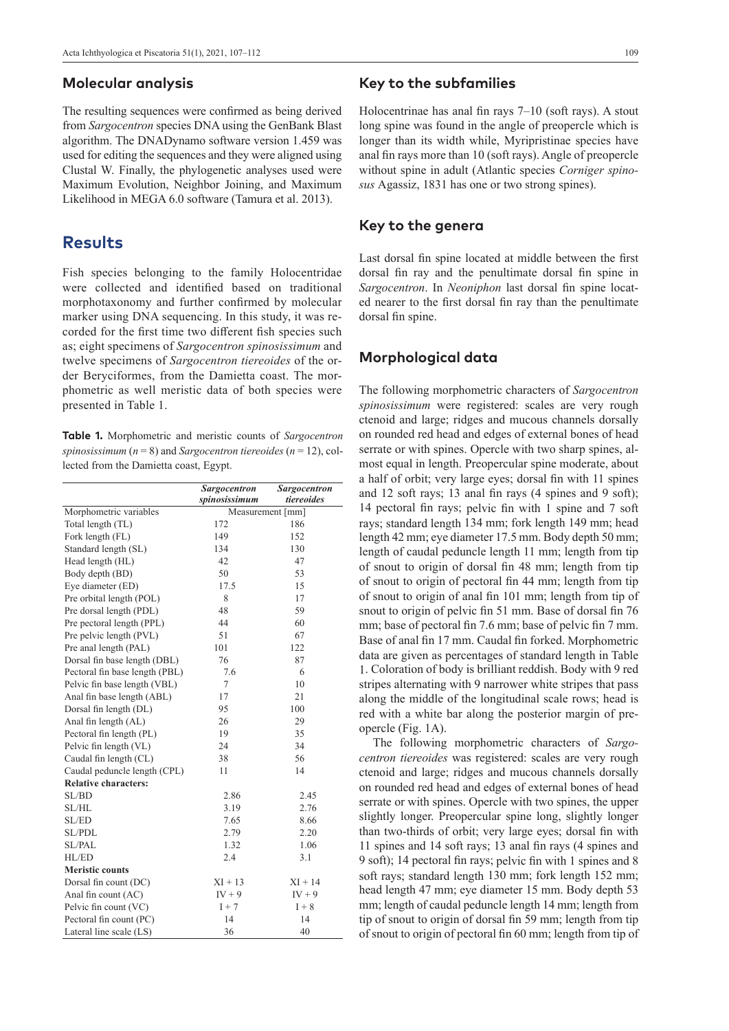#### **Molecular analysis**

The resulting sequences were confirmed as being derived from *Sargocentron* species DNA using the GenBank Blast algorithm. The DNADynamo software version 1.459 was used for editing the sequences and they were aligned using Clustal W. Finally, the phylogenetic analyses used were Maximum Evolution, Neighbor Joining, and Maximum Likelihood in MEGA 6.0 software (Tamura et al. 2013).

## **Results**

Fish species belonging to the family Holocentridae were collected and identified based on traditional morphotaxonomy and further confirmed by molecular marker using DNA sequencing. In this study, it was recorded for the first time two different fish species such as; eight specimens of *Sargocentron spinosissimum* and twelve specimens of *Sargocentron tiereoides* of the order Beryciformes, from the Damietta coast. The morphometric as well meristic data of both species were presented in Table 1.

**Table 1.** Morphometric and meristic counts of *Sargocentron spinosissimum* (*n* = 8) and *Sargocentron tiereoides* (*n* = 12), collected from the Damietta coast, Egypt.

|                                | <b>Sargocentron</b> | <b>Sargocentron</b> |
|--------------------------------|---------------------|---------------------|
|                                | spinosissimum       | tiereoides          |
| Morphometric variables         | Measurement [mm]    |                     |
| Total length (TL)              | 172                 | 186                 |
| Fork length (FL)               | 149                 | 152                 |
| Standard length (SL)           | 134                 | 130                 |
| Head length (HL)               | 42                  | 47                  |
| Body depth (BD)                | 50                  | 53                  |
| Eye diameter (ED)              | 17.5                | 15                  |
| Pre orbital length (POL)       | 8                   | 17                  |
| Pre dorsal length (PDL)        | 48                  | 59                  |
| Pre pectoral length (PPL)      | 44                  | 60                  |
| Pre pelvic length (PVL)        | 51                  | 67                  |
| Pre anal length (PAL)          | 101                 | 122                 |
| Dorsal fin base length (DBL)   | 76                  | 87                  |
| Pectoral fin base length (PBL) | 7.6                 | 6                   |
| Pelvic fin base length (VBL)   | 7                   | 10                  |
| Anal fin base length (ABL)     | 17                  | 21                  |
| Dorsal fin length (DL)         | 95                  | 100                 |
| Anal fin length (AL)           | 26                  | 29                  |
| Pectoral fin length (PL)       | 19                  | 35                  |
| Pelvic fin length (VL)         | 24                  | 34                  |
| Caudal fin length (CL)         | 38                  | 56                  |
| Caudal peduncle length (CPL)   | 11                  | 14                  |
| <b>Relative characters:</b>    |                     |                     |
| SL/BD                          | 2.86                | 2.45                |
| SL/HL                          | 3.19                | 2.76                |
| SL/ED                          | 7.65                | 8.66                |
| <b>SL/PDL</b>                  | 2.79                | 2.20                |
| <b>SL/PAL</b>                  | 1.32                | 1.06                |
| HL/ED                          | 2.4                 | 3.1                 |
| <b>Meristic counts</b>         |                     |                     |
| Dorsal fin count (DC)          | $XI + 13$           | $XI + 14$           |
| Anal fin count (AC)            | $IV + 9$            | $IV + 9$            |
| Pelvic fin count (VC)          | $I + 7$             | $I+8$               |
| Pectoral fin count (PC)        | 14                  | 14                  |
| Lateral line scale (LS)        | 36                  | 40                  |

#### **Key to the subfamilies**

Holocentrinae has anal fin rays 7–10 (soft rays). A stout long spine was found in the angle of preopercle which is longer than its width while, Myripristinae species have anal fin rays more than 10 (soft rays). Angle of preopercle without spine in adult (Atlantic species *Corniger spinosus* Agassiz, 1831 has one or two strong spines).

#### **Key to the genera**

Last dorsal fin spine located at middle between the first dorsal fin ray and the penultimate dorsal fin spine in *Sargocentron*. In *Neoniphon* last dorsal fin spine located nearer to the first dorsal fin ray than the penultimate dorsal fin spine.

#### **Morphological data**

The following morphometric characters of *Sargocentron spinosissimum* were registered: scales are very rough ctenoid and large; ridges and mucous channels dorsally on rounded red head and edges of external bones of head serrate or with spines. Opercle with two sharp spines, almost equal in length. Preopercular spine moderate, about a half of orbit; very large eyes; dorsal fin with 11 spines and 12 soft rays; 13 anal fin rays (4 spines and 9 soft); 14 pectoral fin rays; pelvic fin with 1 spine and 7 soft rays; standard length 134 mm; fork length 149 mm; head length 42 mm; eye diameter 17.5 mm. Body depth 50 mm; length of caudal peduncle length 11 mm; length from tip of snout to origin of dorsal fin 48 mm; length from tip of snout to origin of pectoral fin 44 mm; length from tip of snout to origin of anal fin 101 mm; length from tip of snout to origin of pelvic fin 51 mm. Base of dorsal fin 76 mm; base of pectoral fin 7.6 mm; base of pelvic fin 7 mm. Base of anal fin 17 mm. Caudal fin forked. Morphometric data are given as percentages of standard length in Table 1. Coloration of body is brilliant reddish. Body with 9 red stripes alternating with 9 narrower white stripes that pass along the middle of the longitudinal scale rows; head is red with a white bar along the posterior margin of preopercle (Fig. 1A).

The following morphometric characters of *Sargocentron tiereoides* was registered: scales are very rough ctenoid and large; ridges and mucous channels dorsally on rounded red head and edges of external bones of head serrate or with spines. Opercle with two spines, the upper slightly longer. Preopercular spine long, slightly longer than two-thirds of orbit; very large eyes; dorsal fin with 11 spines and 14 soft rays; 13 anal fin rays (4 spines and 9 soft); 14 pectoral fin rays; pelvic fin with 1 spines and 8 soft rays; standard length 130 mm; fork length 152 mm; head length 47 mm; eye diameter 15 mm. Body depth 53 mm; length of caudal peduncle length 14 mm; length from tip of snout to origin of dorsal fin 59 mm; length from tip of snout to origin of pectoral fin 60 mm; length from tip of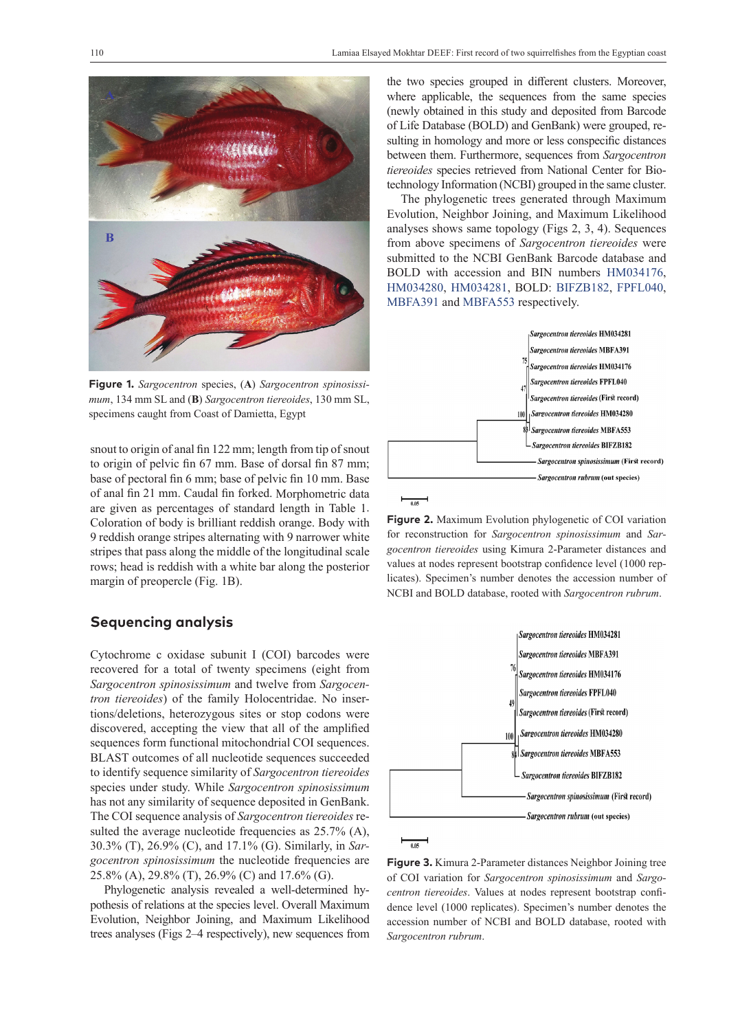

**Figure 1.** *Sargocentron* species, (**A**) *Sargocentron spinosissimum*, 134 mm SL and (**B**) *Sargocentron tiereoides*, 130 mm SL, specimens caught from Coast of Damietta, Egypt

snout to origin of anal fin 122 mm; length from tip of snout to origin of pelvic fin 67 mm. Base of dorsal fin 87 mm; base of pectoral fin 6 mm; base of pelvic fin 10 mm. Base of anal fin 21 mm. Caudal fin forked. Morphometric data are given as percentages of standard length in Table 1. Coloration of body is brilliant reddish orange. Body with 9 reddish orange stripes alternating with 9 narrower white stripes that pass along the middle of the longitudinal scale rows; head is reddish with a white bar along the posterior margin of preopercle (Fig. 1B).

#### **Sequencing analysis**

Cytochrome c oxidase subunit I (COI) barcodes were recovered for a total of twenty specimens (eight from *Sargocentron spinosissimum* and twelve from *Sargocentron tiereoides*) of the family Holocentridae. No insertions/deletions, heterozygous sites or stop codons were discovered, accepting the view that all of the amplified sequences form functional mitochondrial COI sequences. BLAST outcomes of all nucleotide sequences succeeded to identify sequence similarity of *Sargocentron tiereoides* species under study. While *Sargocentron spinosissimum* has not any similarity of sequence deposited in GenBank. The COI sequence analysis of *Sargocentron tiereoides* resulted the average nucleotide frequencies as 25.7% (A), 30.3% (T), 26.9% (C), and 17.1% (G). Similarly, in *Sargocentron spinosissimum* the nucleotide frequencies are 25.8% (A), 29.8% (T), 26.9% (C) and 17.6% (G).

Phylogenetic analysis revealed a well-determined hypothesis of relations at the species level. Overall Maximum Evolution, Neighbor Joining, and Maximum Likelihood trees analyses (Figs 2–4 respectively), new sequences from the two species grouped in different clusters. Moreover, where applicable, the sequences from the same species (newly obtained in this study and deposited from Barcode of Life Database (BOLD) and GenBank) were grouped, resulting in homology and more or less conspecific distances between them. Furthermore, sequences from *Sargocentron tiereoides* species retrieved from National Center for Biotechnology Information (NCBI) grouped in the same cluster.

The phylogenetic trees generated through Maximum Evolution, Neighbor Joining, and Maximum Likelihood analyses shows same topology (Figs 2, 3, 4). Sequences from above specimens of *Sargocentron tiereoides* were submitted to the NCBI GenBank Barcode database and BOLD with accession and BIN numbers [HM034176,](http://www.ncbi.nlm.nih.gov/nuccore/HM034176) [HM034280](http://www.ncbi.nlm.nih.gov/nuccore/HM034280), [HM034281](http://www.ncbi.nlm.nih.gov/nuccore/HM034281), BOLD: [BIFZB182,](http://boldsystems.org/index.php/Public_BarcodeCluster?clusteruri=BOLD:BIFZB182) [FPFL040,](http://boldsystems.org/index.php/Public_BarcodeCluster?clusteruri=BOLD:FPFL040) [MBFA391](http://boldsystems.org/index.php/Public_BarcodeCluster?clusteruri=BOLD:MBFA391) and [MBFA553](http://boldsystems.org/index.php/Public_BarcodeCluster?clusteruri=BOLD:MBFA553) respectively.



**Figure 2.** Maximum Evolution phylogenetic of COI variation for reconstruction for *Sargocentron spinosissimum* and *Sargocentron tiereoides* using Kimura 2-Parameter distances and values at nodes represent bootstrap confidence level (1000 replicates). Specimen's number denotes the accession number of NCBI and BOLD database, rooted with *Sargocentron rubrum*.



**Figure 3.** Kimura 2-Parameter distances Neighbor Joining tree of COI variation for *Sargocentron spinosissimum* and *Sargocentron tiereoides*. Values at nodes represent bootstrap confidence level (1000 replicates). Specimen's number denotes the accession number of NCBI and BOLD database, rooted with *Sargocentron rubrum*.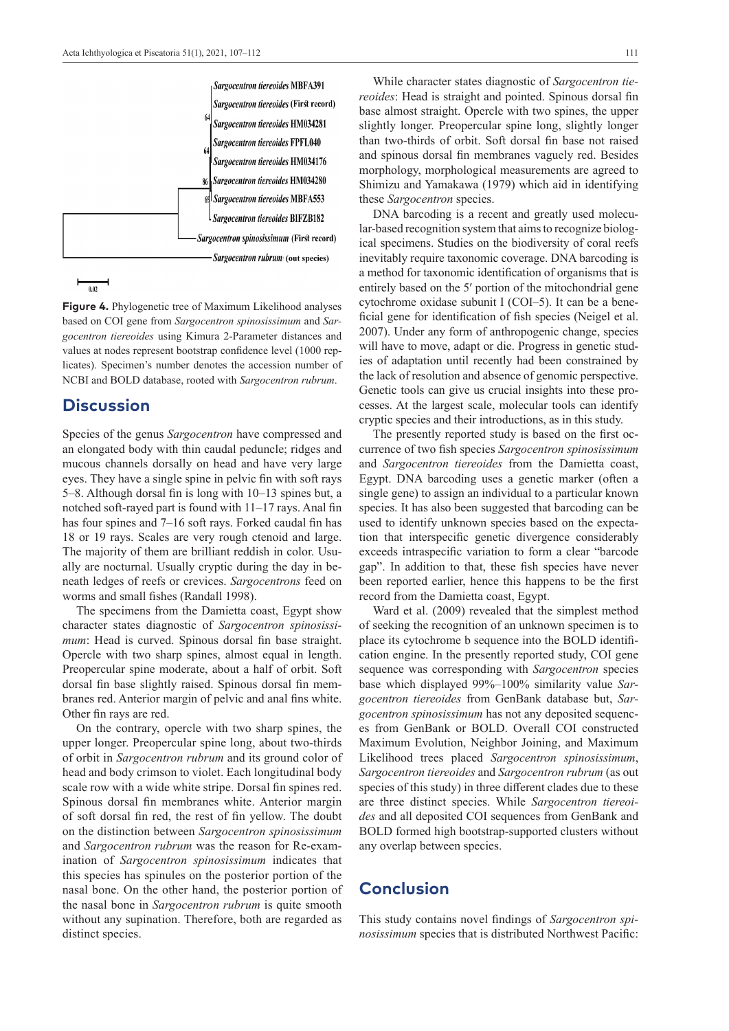

h  $0.02$ 

**Figure 4.** Phylogenetic tree of Maximum Likelihood analyses based on COI gene from *Sargocentron spinosissimum* and *Sargocentron tiereoides* using Kimura 2-Parameter distances and values at nodes represent bootstrap confidence level (1000 replicates). Specimen's number denotes the accession number of NCBI and BOLD database, rooted with *Sargocentron rubrum*.

### **Discussion**

Species of the genus *Sargocentron* have compressed and an elongated body with thin caudal peduncle; ridges and mucous channels dorsally on head and have very large eyes. They have a single spine in pelvic fin with soft rays 5–8. Although dorsal fin is long with 10–13 spines but, a notched soft-rayed part is found with 11–17 rays. Anal fin has four spines and 7–16 soft rays. Forked caudal fin has 18 or 19 rays. Scales are very rough ctenoid and large. The majority of them are brilliant reddish in color. Usually are nocturnal. Usually cryptic during the day in beneath ledges of reefs or crevices. *Sargocentrons* feed on worms and small fishes (Randall 1998).

The specimens from the Damietta coast, Egypt show character states diagnostic of *Sargocentron spinosissimum*: Head is curved. Spinous dorsal fin base straight. Opercle with two sharp spines, almost equal in length. Preopercular spine moderate, about a half of orbit. Soft dorsal fin base slightly raised. Spinous dorsal fin membranes red. Anterior margin of pelvic and anal fins white. Other fin rays are red.

On the contrary, opercle with two sharp spines, the upper longer. Preopercular spine long, about two-thirds of orbit in *Sargocentron rubrum* and its ground color of head and body crimson to violet. Each longitudinal body scale row with a wide white stripe. Dorsal fin spines red. Spinous dorsal fin membranes white. Anterior margin of soft dorsal fin red, the rest of fin yellow. The doubt on the distinction between *Sargocentron spinosissimum* and *Sargocentron rubrum* was the reason for Re-examination of *Sargocentron spinosissimum* indicates that this species has spinules on the posterior portion of the nasal bone. On the other hand, the posterior portion of the nasal bone in *Sargocentron rubrum* is quite smooth without any supination. Therefore, both are regarded as distinct species.

While character states diagnostic of *Sargocentron tiereoides*: Head is straight and pointed. Spinous dorsal fin base almost straight. Opercle with two spines, the upper slightly longer. Preopercular spine long, slightly longer than two-thirds of orbit. Soft dorsal fin base not raised and spinous dorsal fin membranes vaguely red. Besides morphology, morphological measurements are agreed to Shimizu and Yamakawa (1979) which aid in identifying these *Sargocentron* species.

DNA barcoding is a recent and greatly used molecular-based recognition system that aims to recognize biological specimens. Studies on the biodiversity of coral reefs inevitably require taxonomic coverage. DNA barcoding is a method for taxonomic identification of organisms that is entirely based on the 5′ portion of the mitochondrial gene cytochrome oxidase subunit I (COI–5). It can be a beneficial gene for identification of fish species (Neigel et al. 2007). Under any form of anthropogenic change, species will have to move, adapt or die. Progress in genetic studies of adaptation until recently had been constrained by the lack of resolution and absence of genomic perspective. Genetic tools can give us crucial insights into these processes. At the largest scale, molecular tools can identify cryptic species and their introductions, as in this study.

The presently reported study is based on the first occurrence of two fish species *Sargocentron spinosissimum* and *Sargocentron tiereoides* from the Damietta coast, Egypt. DNA barcoding uses a genetic marker (often a single gene) to assign an individual to a particular known species. It has also been suggested that barcoding can be used to identify unknown species based on the expectation that interspecific genetic divergence considerably exceeds intraspecific variation to form a clear "barcode gap". In addition to that, these fish species have never been reported earlier, hence this happens to be the first record from the Damietta coast, Egypt.

Ward et al. (2009) revealed that the simplest method of seeking the recognition of an unknown specimen is to place its cytochrome b sequence into the BOLD identification engine. In the presently reported study, COI gene sequence was corresponding with *Sargocentron* species base which displayed 99%–100% similarity value *Sargocentron tiereoides* from GenBank database but, *Sargocentron spinosissimum* has not any deposited sequences from GenBank or BOLD. Overall COI constructed Maximum Evolution, Neighbor Joining, and Maximum Likelihood trees placed *Sargocentron spinosissimum*, *Sargocentron tiereoides* and *Sargocentron rubrum* (as out species of this study) in three different clades due to these are three distinct species. While *Sargocentron tiereoides* and all deposited COI sequences from GenBank and BOLD formed high bootstrap-supported clusters without any overlap between species.

## **Conclusion**

This study contains novel findings of *Sargocentron spinosissimum* species that is distributed Northwest Pacific: